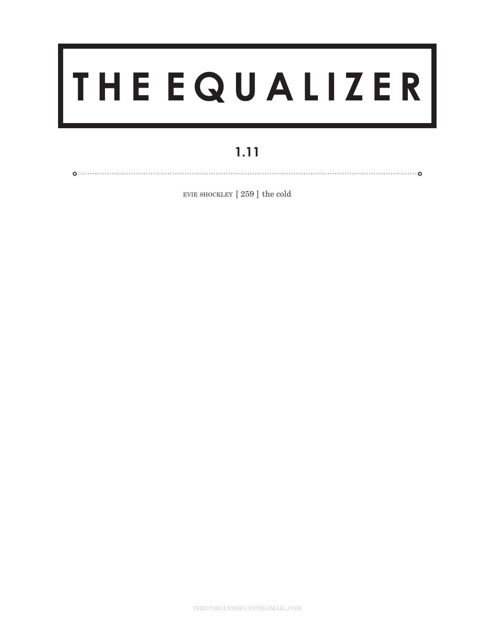## **T H E E Q U A L I Z E R**

## **1.11**

0. . . . . . . . . . . . . . . .

evie shockley [ 259 ] the cold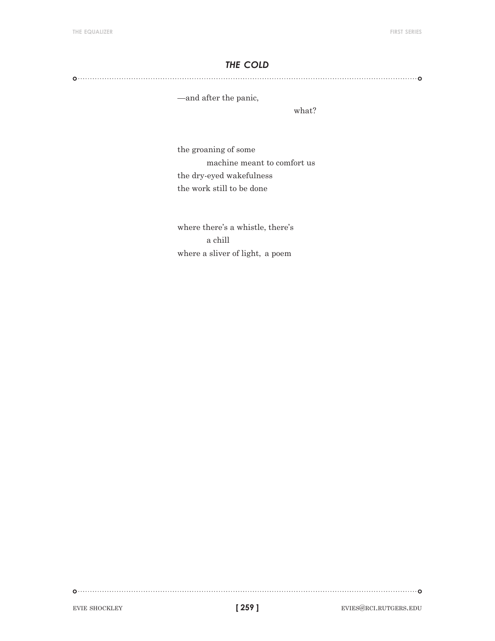## *the cold*

## 

—and after the panic,

what?

the groaning of some machine meant to comfort us the dry-eyed wakefulness the work still to be done

where there's a whistle, there's a chill where a sliver of light, a poem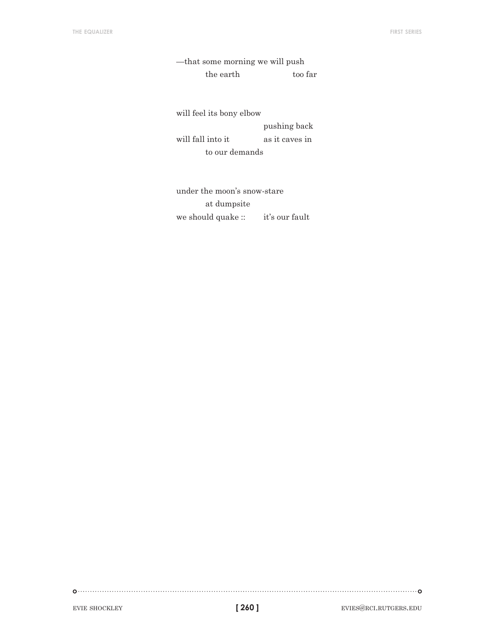—that some morning we will push the earth too far

will feel its bony elbow pushing back will fall into it as it caves in to our demands

under the moon's snow-stare at dumpsite we should quake :: it's our fault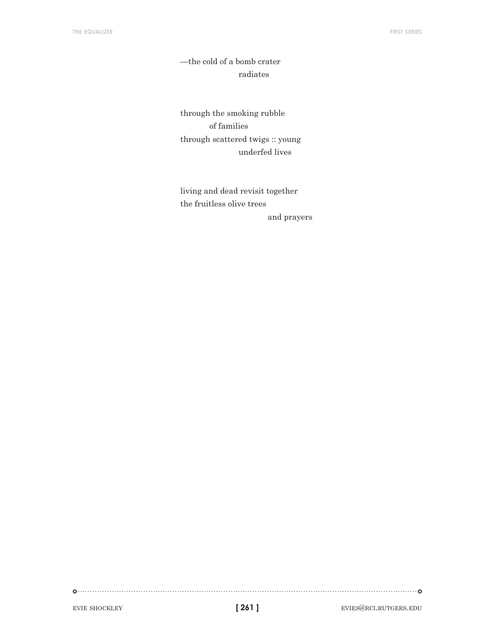—the cold of a bomb crater radiates

through the smoking rubble of families through scattered twigs :: young underfed lives

living and dead revisit together the fruitless olive trees and prayers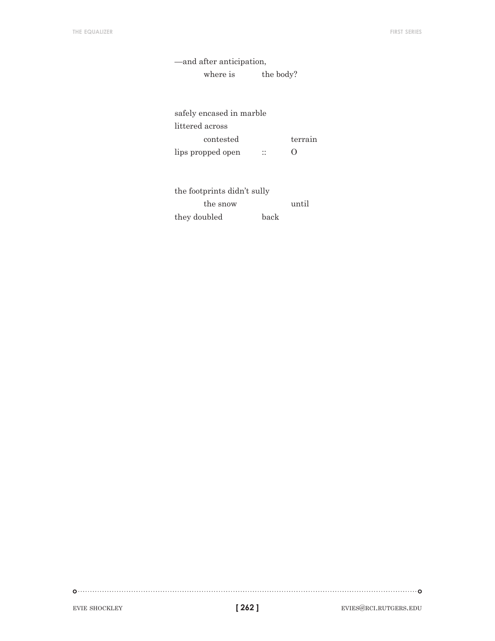| —and after anticipation, |           |
|--------------------------|-----------|
| where is                 | the body? |
|                          |           |

| safely encased in marble |                    |
|--------------------------|--------------------|
| littered across          |                    |
| contested                | terrain            |
| lips propped open        | $\left( \ \right)$ |

| the footprints didn't sully |      |       |
|-----------------------------|------|-------|
| the snow                    |      | until |
| they doubled                | back |       |

 $\begin{picture}(100,100)(0,0) \put(0,0){\vector(1,0){100}} \put(10,0){\vector(1,0){100}} \put(10,0){\vector(1,0){100}} \put(10,0){\vector(1,0){100}} \put(10,0){\vector(1,0){100}} \put(10,0){\vector(1,0){100}} \put(10,0){\vector(1,0){100}} \put(10,0){\vector(1,0){100}} \put(10,0){\vector(1,0){100}} \put(10,0){\vector(1,0){100}} \put(10,0){\vector(1,0$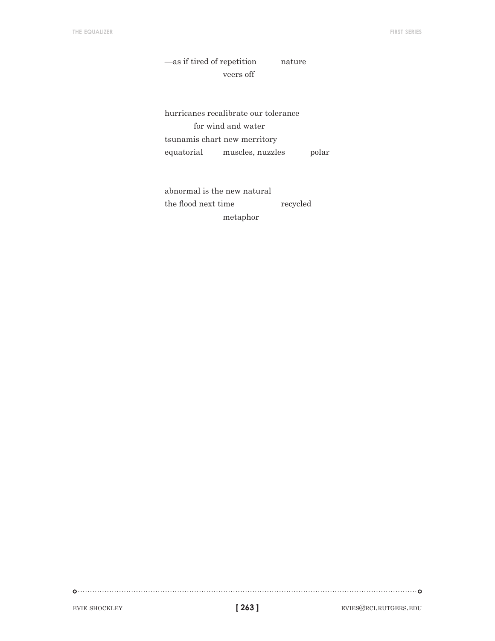—as if tired of repetition nature veers off

hurricanes recalibrate our tolerance for wind and water tsunamis chart new merritory equatorial muscles, nuzzles polar

abnormal is the new natural the flood next time recycled metaphor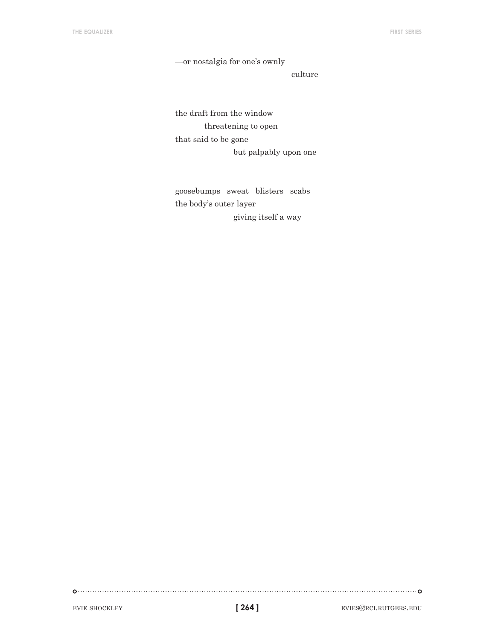—or nostalgia for one's ownly

culture

the draft from the window threatening to open that said to be gone but palpably upon one

goosebumps sweat blisters scabs the body's outer layer giving itself a way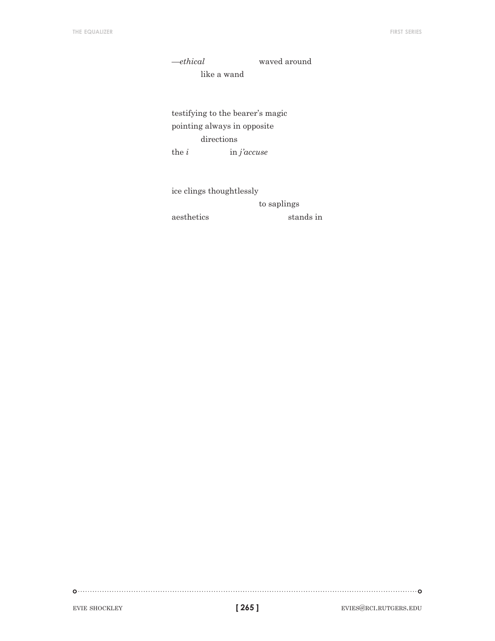—*ethical* waved around like a wand

testifying to the bearer's magic pointing always in opposite directions the *i* in *j'accuse*

ice clings thoughtlessly to saplings aesthetics stands in